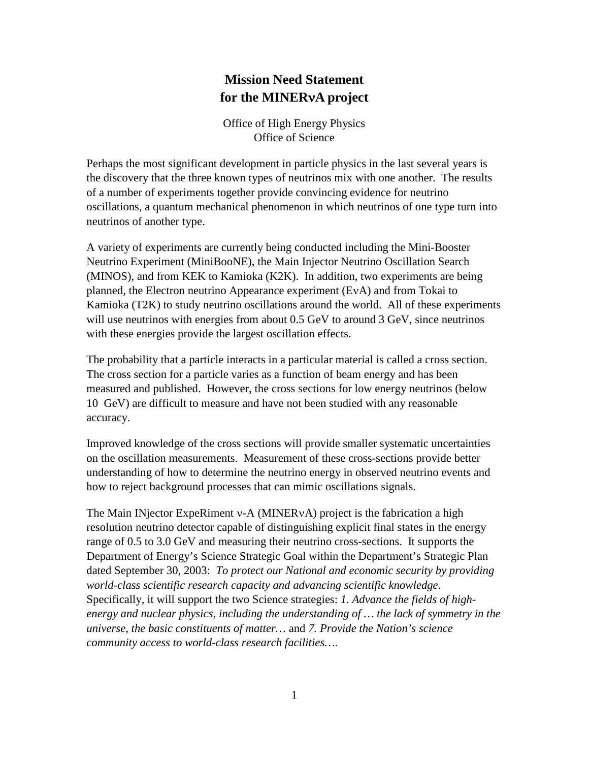# **Mission Need Statement for the MINER**ν**A project**

Office of High Energy Physics Office of Science

Perhaps the most significant development in particle physics in the last several years is the discovery that the three known types of neutrinos mix with one another. The results of a number of experiments together provide convincing evidence for neutrino oscillations, a quantum mechanical phenomenon in which neutrinos of one type turn into neutrinos of another type.

A variety of experiments are currently being conducted including the Mini-Booster Neutrino Experiment (MiniBooNE), the Main Injector Neutrino Oscillation Search (MINOS), and from KEK to Kamioka (K2K). In addition, two experiments are being planned, the Electron neutrino Appearance experiment (EνA) and from Tokai to Kamioka (T2K) to study neutrino oscillations around the world. All of these experiments will use neutrinos with energies from about 0.5 GeV to around 3 GeV, since neutrinos with these energies provide the largest oscillation effects.

The probability that a particle interacts in a particular material is called a cross section. The cross section for a particle varies as a function of beam energy and has been measured and published. However, the cross sections for low energy neutrinos (below 10 GeV) are difficult to measure and have not been studied with any reasonable accuracy.

Improved knowledge of the cross sections will provide smaller systematic uncertainties on the oscillation measurements. Measurement of these cross-sections provide better understanding of how to determine the neutrino energy in observed neutrino events and how to reject background processes that can mimic oscillations signals.

The Main INjector ExpeRiment ν-A (MINERνA) project is the fabrication a high resolution neutrino detector capable of distinguishing explicit final states in the energy range of 0.5 to 3.0 GeV and measuring their neutrino cross-sections. It supports the Department of Energy's Science Strategic Goal within the Department's Strategic Plan dated September 30, 2003: *To protect our National and economic security by providing world-class scientific research capacity and advancing scientific knowledge*. Specifically, it will support the two Science strategies: *1. Advance the fields of highenergy and nuclear physics, including the understanding of … the lack of symmetry in the universe, the basic constituents of matter…* and *7. Provide the Nation's science community access to world-class research facilities…*.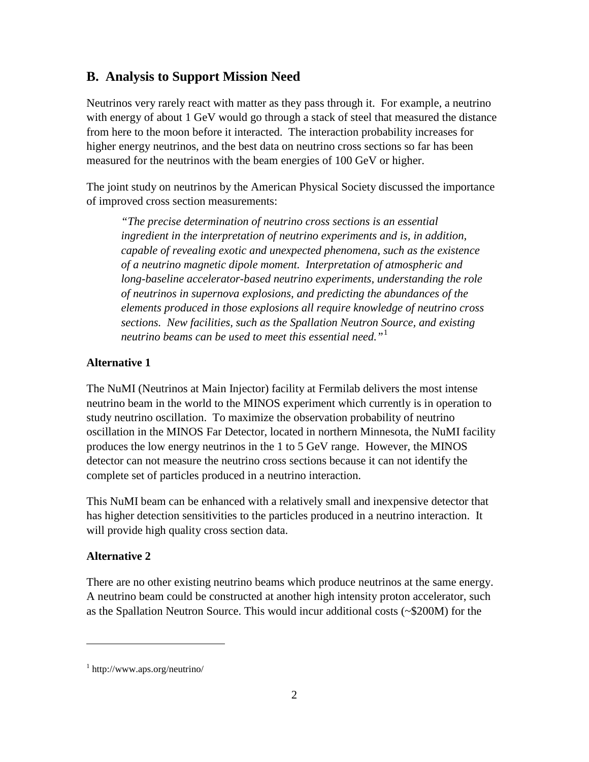### **B. Analysis to Support Mission Need**

Neutrinos very rarely react with matter as they pass through it. For example, a neutrino with energy of about 1 GeV would go through a stack of steel that measured the distance from here to the moon before it interacted. The interaction probability increases for higher energy neutrinos, and the best data on neutrino cross sections so far has been measured for the neutrinos with the beam energies of 100 GeV or higher.

The joint study on neutrinos by the American Physical Society discussed the importance of improved cross section measurements:

*"The precise determination of neutrino cross sections is an essential ingredient in the interpretation of neutrino experiments and is, in addition, capable of revealing exotic and unexpected phenomena, such as the existence of a neutrino magnetic dipole moment. Interpretation of atmospheric and long-baseline accelerator-based neutrino experiments, understanding the role of neutrinos in supernova explosions, and predicting the abundances of the elements produced in those explosions all require knowledge of neutrino cross sections. New facilities, such as the Spallation Neutron Source, and existing neutrino beams can be used to meet this essential need."*[1](#page-1-0)

#### **Alternative 1**

The NuMI (Neutrinos at Main Injector) facility at Fermilab delivers the most intense neutrino beam in the world to the MINOS experiment which currently is in operation to study neutrino oscillation. To maximize the observation probability of neutrino oscillation in the MINOS Far Detector, located in northern Minnesota, the NuMI facility produces the low energy neutrinos in the 1 to 5 GeV range. However, the MINOS detector can not measure the neutrino cross sections because it can not identify the complete set of particles produced in a neutrino interaction.

This NuMI beam can be enhanced with a relatively small and inexpensive detector that has higher detection sensitivities to the particles produced in a neutrino interaction. It will provide high quality cross section data.

#### **Alternative 2**

 $\overline{a}$ 

There are no other existing neutrino beams which produce neutrinos at the same energy. A neutrino beam could be constructed at another high intensity proton accelerator, such as the Spallation Neutron Source. This would incur additional costs (~\$200M) for the

<span id="page-1-0"></span><sup>1</sup> http://www.aps.org/neutrino/